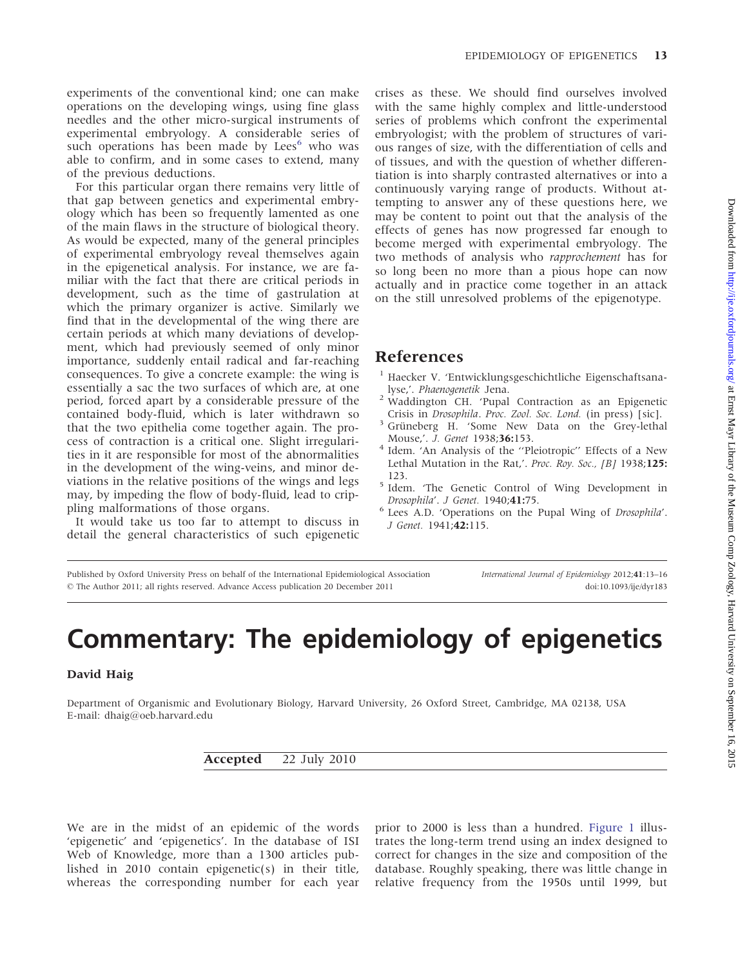experiments of the conventional kind; one can make operations on the developing wings, using fine glass needles and the other micro-surgical instruments of experimental embryology. A considerable series of such operations has been made by Lees<sup>6</sup> who was able to confirm, and in some cases to extend, many of the previous deductions.

For this particular organ there remains very little of that gap between genetics and experimental embryology which has been so frequently lamented as one of the main flaws in the structure of biological theory. As would be expected, many of the general principles of experimental embryology reveal themselves again in the epigenetical analysis. For instance, we are familiar with the fact that there are critical periods in development, such as the time of gastrulation at which the primary organizer is active. Similarly we find that in the developmental of the wing there are certain periods at which many deviations of development, which had previously seemed of only minor importance, suddenly entail radical and far-reaching consequences. To give a concrete example: the wing is essentially a sac the two surfaces of which are, at one period, forced apart by a considerable pressure of the contained body-fluid, which is later withdrawn so that the two epithelia come together again. The process of contraction is a critical one. Slight irregularities in it are responsible for most of the abnormalities in the development of the wing-veins, and minor deviations in the relative positions of the wings and legs may, by impeding the flow of body-fluid, lead to crippling malformations of those organs.

It would take us too far to attempt to discuss in detail the general characteristics of such epigenetic

crises as these. We should find ourselves involved with the same highly complex and little-understood series of problems which confront the experimental embryologist; with the problem of structures of various ranges of size, with the differentiation of cells and of tissues, and with the question of whether differentiation is into sharply contrasted alternatives or into a continuously varying range of products. Without attempting to answer any of these questions here, we may be content to point out that the analysis of the effects of genes has now progressed far enough to become merged with experimental embryology. The two methods of analysis who rapprochement has for so long been no more than a pious hope can now actually and in practice come together in an attack on the still unresolved problems of the epigenotype.

### References

- <sup>1</sup> Haecker V. 'Entwicklungsgeschichtliche Eigenschaftsana-
- lyse,'. Phaenogenetik Jena. <sup>2</sup> Waddington CH. 'Pupal Contraction as an Epigenetic
- Crisis in *Drosophila. Proc. Zool. Soc. Lond.* (in press) [sic]. Grüneberg H. 'Some New Data on the Grey-lethal Mouse,'. *J. Genet* 1938;36:153.
- Idem. 'An Analysis of the "Pleiotropic" Effects of a New Lethal Mutation in the Rat,'. Proc. Roy. Soc., [B] 1938;125:
- 123.<br><sup>5</sup> Idem. 'The Genetic Control of Wing Development in
- Drosophila'. J Genet. 1940;41:75.<br>
<sup>6</sup> Lees A.D. 'Operations on the Pupal Wing of Drosophila'. J Genet. 1941;42:115.

Published by Oxford University Press on behalf of the International Epidemiological Association - The Author 2011; all rights reserved. Advance Access publication 20 December 2011

International Journal of Epidemiology 2012;41:13–16 doi:10.1093/ije/dyr183

# Commentary: The epidemiology of epigenetics

#### David Haig

Department of Organismic and Evolutionary Biology, Harvard University, 26 Oxford Street, Cambridge, MA 02138, USA E-mail: dhaig@oeb.harvard.edu

Accepted 22 July 2010

We are in the midst of an epidemic of the words 'epigenetic' and 'epigenetics'. In the database of ISI Web of Knowledge, more than a 1300 articles published in 2010 contain epigenetic(s) in their title, whereas the corresponding number for each year prior to 2000 is less than a hundred. [Figure 1](#page-1-0) illustrates the long-term trend using an index designed to correct for changes in the size and composition of the database. Roughly speaking, there was little change in relative frequency from the 1950s until 1999, but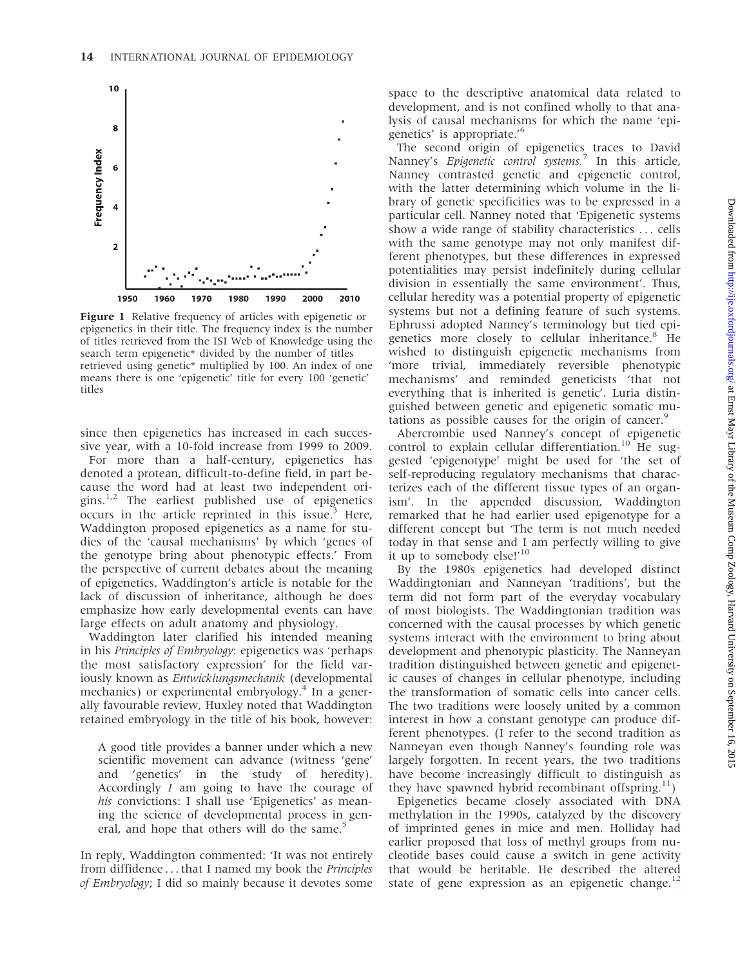<span id="page-1-0"></span>

Figure 1 Relative frequency of articles with epigenetic or epigenetics in their title. The frequency index is the number of titles retrieved from the ISI Web of Knowledge using the search term epigenetic\* divided by the number of titles retrieved using genetic\* multiplied by 100. An index of one means there is one 'epigenetic' title for every 100 'genetic' titles

since then epigenetics has increased in each successive year, with a 10-fold increase from 1999 to 2009.

For more than a half-century, epigenetics has denoted a protean, difficult-to-define field, in part because the word had at least two independent ori-gins.<sup>[1,2](#page-2-0)</sup> The earliest published use of epigenetics occurs in the article reprinted in this issue.<sup>3</sup> Here, Waddington proposed epigenetics as a name for studies of the 'causal mechanisms' by which 'genes of the genotype bring about phenotypic effects.' From the perspective of current debates about the meaning of epigenetics, Waddington's article is notable for the lack of discussion of inheritance, although he does emphasize how early developmental events can have large effects on adult anatomy and physiology.

Waddington later clarified his intended meaning in his Principles of Embryology: epigenetics was 'perhaps the most satisfactory expression' for the field variously known as Entwicklungsmechanik (developmental mechanics) or experimental embryology.<sup>[4](#page-2-0)</sup> In a generally favourable review, Huxley noted that Waddington retained embryology in the title of his book, however:

A good title provides a banner under which a new scientific movement can advance (witness 'gene' and 'genetics' in the study of heredity). Accordingly I am going to have the courage of his convictions: I shall use 'Epigenetics' as meaning the science of developmental process in gen-eral, and hope that others will do the same.<sup>[5](#page-2-0)</sup>

In reply, Waddington commented: 'It was not entirely from diffidence ...that I named my book the *Principles* of Embryology; I did so mainly because it devotes some

space to the descriptive anatomical data related to development, and is not confined wholly to that analysis of causal mechanisms for which the name 'epigenetics' is appropriate.'[6](#page-2-0)

The second origin of epigenetics traces to David Nanney's *Epigenetic control systems*.<sup>[7](#page-2-0)</sup> In this article, Nanney contrasted genetic and epigenetic control, with the latter determining which volume in the library of genetic specificities was to be expressed in a particular cell. Nanney noted that 'Epigenetic systems show a wide range of stability characteristics ... cells with the same genotype may not only manifest different phenotypes, but these differences in expressed potentialities may persist indefinitely during cellular division in essentially the same environment'. Thus, cellular heredity was a potential property of epigenetic systems but not a defining feature of such systems. Ephrussi adopted Nanney's terminology but tied epi-genetics more closely to cellular inheritance.<sup>[8](#page-2-0)</sup> He wished to distinguish epigenetic mechanisms from 'more trivial, immediately reversible phenotypic mechanisms' and reminded geneticists 'that not everything that is inherited is genetic'. Luria distinguished between genetic and epigenetic somatic mu-tations as possible causes for the origin of cancer.<sup>[9](#page-2-0)</sup>

Abercrombie used Nanney's concept of epigenetic control to explain cellular differentiation.<sup>[10](#page-2-0)</sup> He suggested 'epigenotype' might be used for 'the set of self-reproducing regulatory mechanisms that characterizes each of the different tissue types of an organism'. In the appended discussion, Waddington remarked that he had earlier used epigenotype for a different concept but 'The term is not much needed today in that sense and I am perfectly willing to give it up to somebody else!'<sup>[10](#page-2-0)</sup>

By the 1980s epigenetics had developed distinct Waddingtonian and Nanneyan 'traditions', but the term did not form part of the everyday vocabulary of most biologists. The Waddingtonian tradition was concerned with the causal processes by which genetic systems interact with the environment to bring about development and phenotypic plasticity. The Nanneyan tradition distinguished between genetic and epigenetic causes of changes in cellular phenotype, including the transformation of somatic cells into cancer cells. The two traditions were loosely united by a common interest in how a constant genotype can produce different phenotypes. (I refer to the second tradition as Nanneyan even though Nanney's founding role was largely forgotten. In recent years, the two traditions have become increasingly difficult to distinguish as they have spawned hybrid recombinant offspring. $11$ )

Epigenetics became closely associated with DNA methylation in the 1990s, catalyzed by the discovery of imprinted genes in mice and men. Holliday had earlier proposed that loss of methyl groups from nucleotide bases could cause a switch in gene activity that would be heritable. He described the altered state of gene expression as an epigenetic change.<sup>[12](#page-2-0)</sup>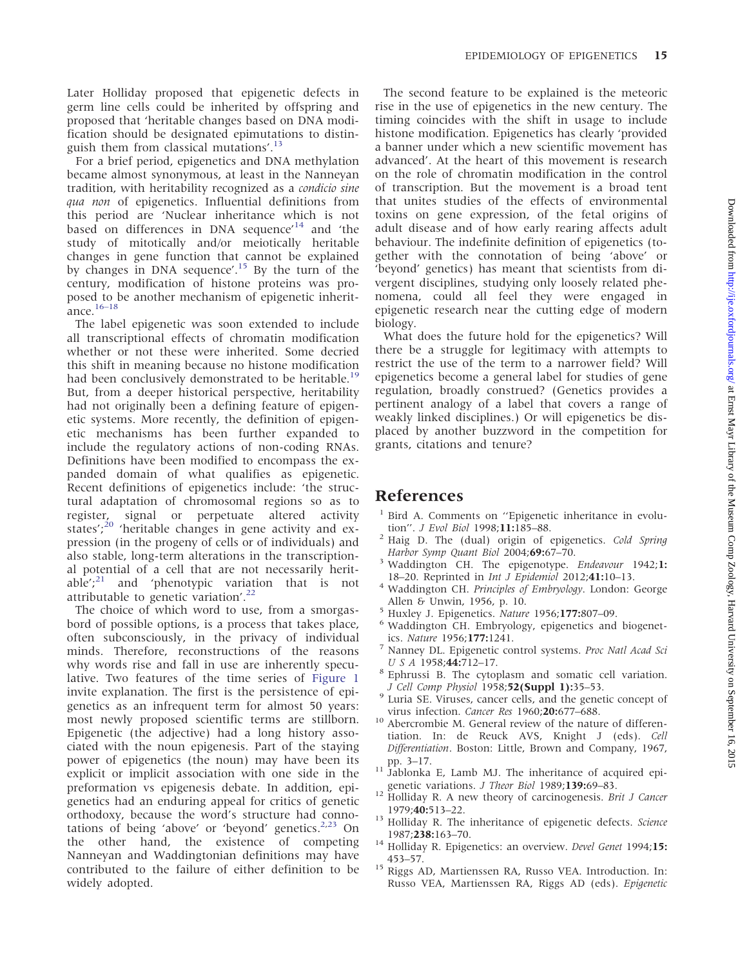<span id="page-2-0"></span>Later Holliday proposed that epigenetic defects in germ line cells could be inherited by offspring and proposed that 'heritable changes based on DNA modification should be designated epimutations to distinguish them from classical mutations'.<sup>13</sup>

For a brief period, epigenetics and DNA methylation became almost synonymous, at least in the Nanneyan tradition, with heritability recognized as a condicio sine qua non of epigenetics. Influential definitions from this period are 'Nuclear inheritance which is not based on differences in DNA sequence'<sup>14</sup> and 'the study of mitotically and/or meiotically heritable changes in gene function that cannot be explained by changes in DNA sequence'.<sup>15</sup> By the turn of the century, modification of histone proteins was proposed to be another mechanism of epigenetic inheritance.[16–18](#page-3-0)

The label epigenetic was soon extended to include all transcriptional effects of chromatin modification whether or not these were inherited. Some decried this shift in meaning because no histone modification had been conclusively demonstrated to be heritable.<sup>[19](#page-3-0)</sup> But, from a deeper historical perspective, heritability had not originally been a defining feature of epigenetic systems. More recently, the definition of epigenetic mechanisms has been further expanded to include the regulatory actions of non-coding RNAs. Definitions have been modified to encompass the expanded domain of what qualifies as epigenetic. Recent definitions of epigenetics include: 'the structural adaptation of chromosomal regions so as to register, signal or perpetuate altered activity states';<sup>[20](#page-3-0)</sup> 'heritable changes in gene activity and expression (in the progeny of cells or of individuals) and also stable, long-term alterations in the transcriptional potential of a cell that are not necessarily heritable'; $^{21}$  $^{21}$  $^{21}$  and 'phenotypic variation that is not attributable to genetic variation'. $^{22}$  $^{22}$  $^{22}$ 

The choice of which word to use, from a smorgasbord of possible options, is a process that takes place, often subconsciously, in the privacy of individual minds. Therefore, reconstructions of the reasons why words rise and fall in use are inherently speculative. Two features of the time series of [Figure 1](#page-1-0) invite explanation. The first is the persistence of epigenetics as an infrequent term for almost 50 years: most newly proposed scientific terms are stillborn. Epigenetic (the adjective) had a long history associated with the noun epigenesis. Part of the staying power of epigenetics (the noun) may have been its explicit or implicit association with one side in the preformation vs epigenesis debate. In addition, epigenetics had an enduring appeal for critics of genetic orthodoxy, because the word's structure had connotations of being 'above' or 'beyond' genetics. $2,23$  $2,23$  On the other hand, the existence of competing Nanneyan and Waddingtonian definitions may have contributed to the failure of either definition to be widely adopted.

The second feature to be explained is the meteoric rise in the use of epigenetics in the new century. The timing coincides with the shift in usage to include histone modification. Epigenetics has clearly 'provided a banner under which a new scientific movement has advanced'. At the heart of this movement is research on the role of chromatin modification in the control of transcription. But the movement is a broad tent that unites studies of the effects of environmental toxins on gene expression, of the fetal origins of adult disease and of how early rearing affects adult behaviour. The indefinite definition of epigenetics (together with the connotation of being 'above' or 'beyond' genetics) has meant that scientists from divergent disciplines, studying only loosely related phenomena, could all feel they were engaged in epigenetic research near the cutting edge of modern biology.

What does the future hold for the epigenetics? Will there be a struggle for legitimacy with attempts to restrict the use of the term to a narrower field? Will epigenetics become a general label for studies of gene regulation, broadly construed? (Genetics provides a pertinent analogy of a label that covers a range of weakly linked disciplines.) Or will epigenetics be displaced by another buzzword in the competition for grants, citations and tenure?

#### References

- <sup>1</sup> Bird A. Comments on "Epigenetic inheritance in evolution". *J Evol Biol* 1998;11:185–88.
- <sup>2</sup> Haig D. The (dual) origin of epigenetics. Cold Spring
- Harbor Symp Quant Biol 2004;69:67–70.<br><sup>3</sup> Waddington CH. The epigenotype. *Endeavour* 1942;1:
- 18–20. Reprinted in *Int J Epidemiol* 2012;41:10–13.<br>Waddington CH. Principles of Embryology. London: George
- 
- Allen & Unwin, 1956, p. 10.<br>
<sup>5</sup> Huxley J. Epigenetics. *Nature* 1956;**177:**807–09.<br>
<sup>6</sup> Waddington CH. Embryology, epigenetics and biogenet-<br>
ics. *Nature* 1956;**177:**1241.
- Nanney DL. Epigenetic control systems. Proc Natl Acad Sci
- U S A 1958;44:712–17.<br><sup>8</sup> Ephrussi B. The cytoplasm and somatic cell variation.
- J Cell Comp Physiol 1958;52(Suppl 1):35–53.<br><sup>9</sup> Luria SE. Viruses, cancer cells, and the genetic concept of
- virus infection. *Cancer Res* 1960; **20:**677–688.<br><sup>10</sup> Abercrombie M. General review of the nature of differentiation. In: de Reuck AVS, Knight J (eds). Cell Differentiation. Boston: Little, Brown and Company, 1967,
- pp. 3–17.<br><sup>11</sup> Jablonka E, Lamb MJ. The inheritance of acquired epi-
- genetic variations. J Theor Biol 1989;139:69–83.<br><sup>12</sup> Holliday R. A new theory of carcinogenesis. Brit J Cancer
- 1979; $40:513-22$ .<br><sup>13</sup> Holliday R. The inheritance of epigenetic defects. Science
- 1987;238:163–70.<br><sup>14</sup> Holliday R. Epigenetics: an overview. *Devel Genet* 1994;15:
- 453–57. 15 Riggs AD, Martienssen RA, Russo VEA. Introduction. In: Russo VEA, Martienssen RA, Riggs AD (eds). Epigenetic